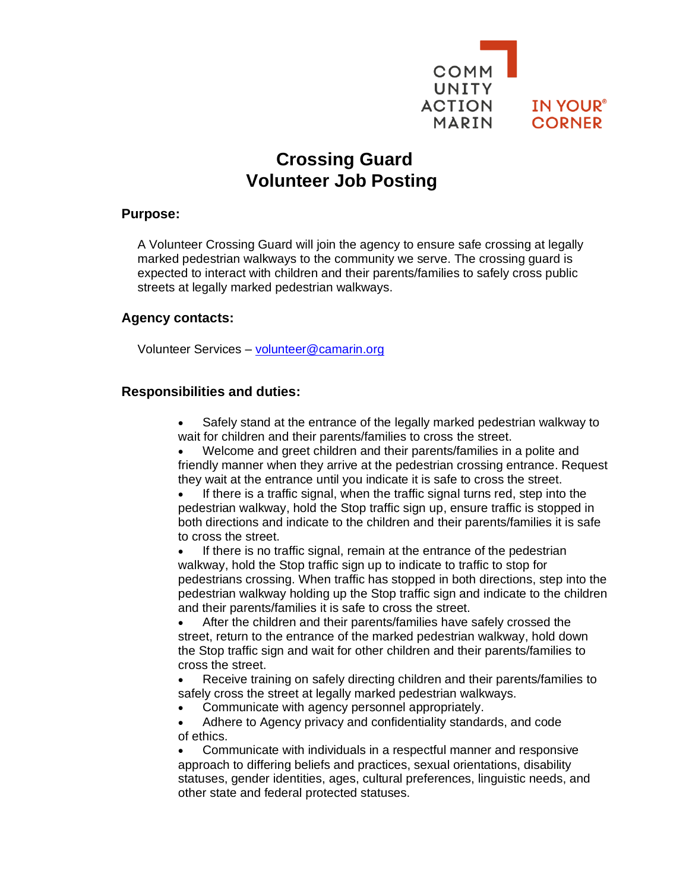

# **Crossing Guard Volunteer Job Posting**

#### **Purpose:**

A Volunteer Crossing Guard will join the agency to ensure safe crossing at legally marked pedestrian walkways to the community we serve. The crossing guard is expected to interact with children and their parents/families to safely cross public streets at legally marked pedestrian walkways.

#### **Agency contacts:**

Volunteer Services – [volunteer@camarin.org](mailto:volunteer@camarin.org)

#### **Responsibilities and duties:**

• Safely stand at the entrance of the legally marked pedestrian walkway to wait for children and their parents/families to cross the street.

• Welcome and greet children and their parents/families in a polite and friendly manner when they arrive at the pedestrian crossing entrance. Request they wait at the entrance until you indicate it is safe to cross the street.

If there is a traffic signal, when the traffic signal turns red, step into the pedestrian walkway, hold the Stop traffic sign up, ensure traffic is stopped in both directions and indicate to the children and their parents/families it is safe to cross the street.

If there is no traffic signal, remain at the entrance of the pedestrian walkway, hold the Stop traffic sign up to indicate to traffic to stop for pedestrians crossing. When traffic has stopped in both directions, step into the pedestrian walkway holding up the Stop traffic sign and indicate to the children and their parents/families it is safe to cross the street.

• After the children and their parents/families have safely crossed the street, return to the entrance of the marked pedestrian walkway, hold down the Stop traffic sign and wait for other children and their parents/families to cross the street.

• Receive training on safely directing children and their parents/families to safely cross the street at legally marked pedestrian walkways.

• Communicate with agency personnel appropriately.

• Adhere to Agency privacy and confidentiality standards, and code of ethics.

• Communicate with individuals in a respectful manner and responsive approach to differing beliefs and practices, sexual orientations, disability statuses, gender identities, ages, cultural preferences, linguistic needs, and other state and federal protected statuses.